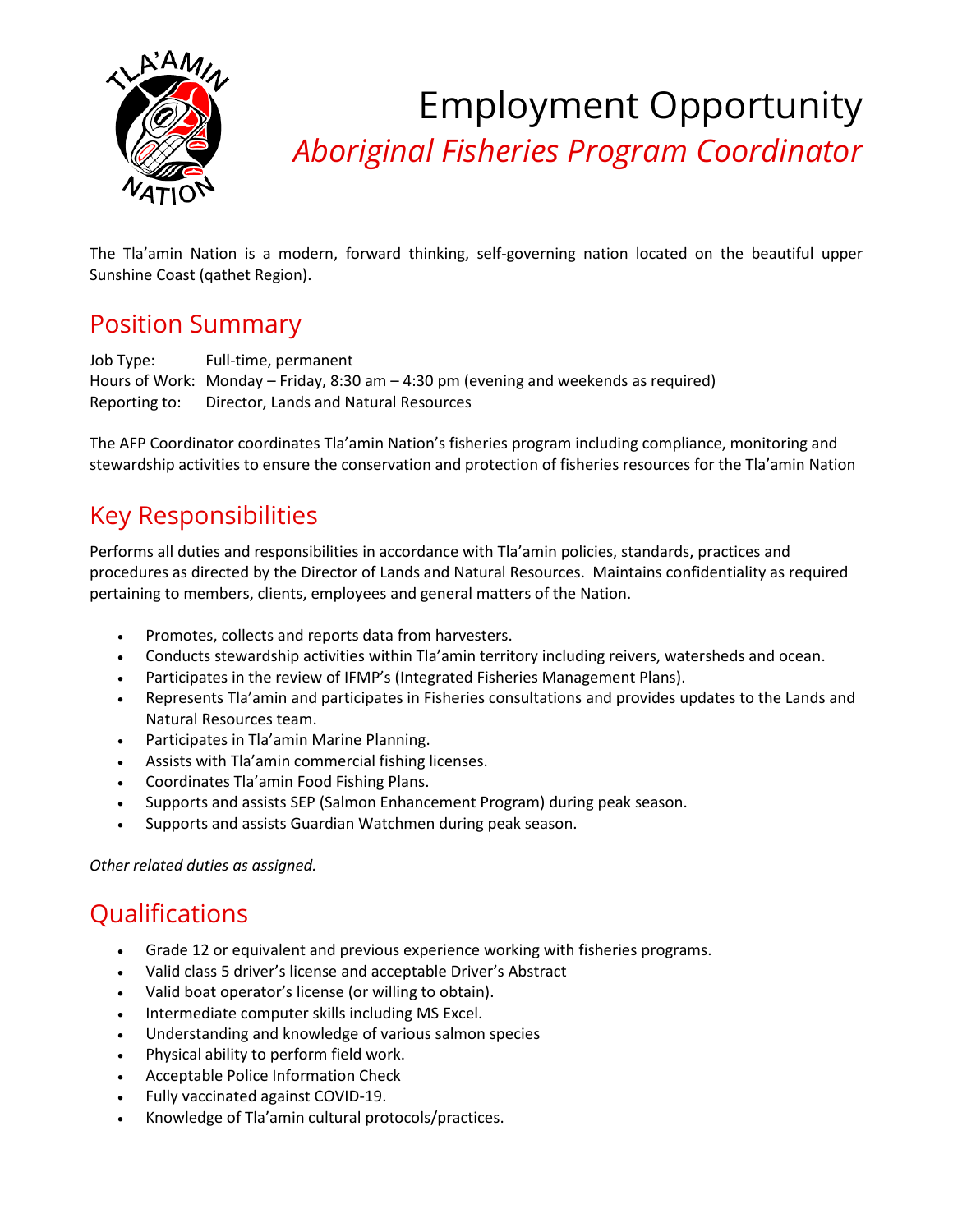

Employment Opportunity *Aboriginal Fisheries Program Coordinator*

The Tla'amin Nation is a modern, forward thinking, self-governing nation located on the beautiful upper Sunshine Coast (qathet Region).

### Position Summary

Job Type: Full-time, permanent Hours of Work: Monday – Friday, 8:30 am – 4:30 pm (evening and weekends as required) Reporting to: Director, Lands and Natural Resources

The AFP Coordinator coordinates Tla'amin Nation's fisheries program including compliance, monitoring and stewardship activities to ensure the conservation and protection of fisheries resources for the Tla'amin Nation

## Key Responsibilities

Performs all duties and responsibilities in accordance with Tla'amin policies, standards, practices and procedures as directed by the Director of Lands and Natural Resources. Maintains confidentiality as required pertaining to members, clients, employees and general matters of the Nation.

- Promotes, collects and reports data from harvesters.
- Conducts stewardship activities within Tla'amin territory including reivers, watersheds and ocean.
- Participates in the review of IFMP's (Integrated Fisheries Management Plans).
- Represents Tla'amin and participates in Fisheries consultations and provides updates to the Lands and Natural Resources team.
- Participates in Tla'amin Marine Planning.
- Assists with Tla'amin commercial fishing licenses.
- Coordinates Tla'amin Food Fishing Plans.
- Supports and assists SEP (Salmon Enhancement Program) during peak season.
- Supports and assists Guardian Watchmen during peak season.

*Other related duties as assigned.*

# **Qualifications**

- Grade 12 or equivalent and previous experience working with fisheries programs.
- Valid class 5 driver's license and acceptable Driver's Abstract
- Valid boat operator's license (or willing to obtain).
- Intermediate computer skills including MS Excel.
- Understanding and knowledge of various salmon species
- Physical ability to perform field work.
- Acceptable Police Information Check
- Fully vaccinated against COVID-19.
- Knowledge of Tla'amin cultural protocols/practices.